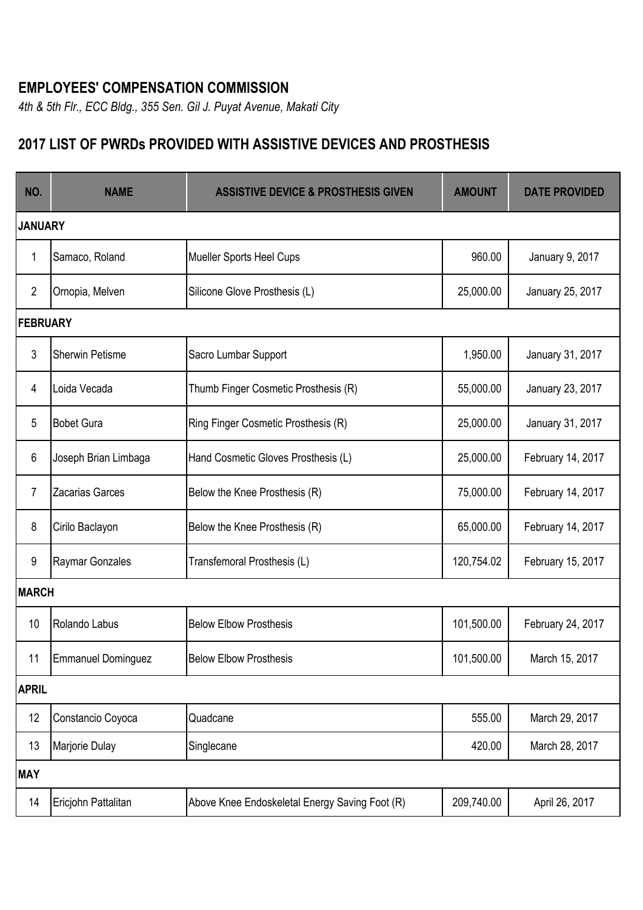## **EMPLOYEES' COMPENSATION COMMISSION**

*4th & 5th Flr., ECC Bldg., 355 Sen. Gil J. Puyat Avenue, Makati City*

## **2017 LIST OF PWRDs PROVIDED WITH ASSISTIVE DEVICES AND PROSTHESIS**

| NO.             | <b>NAME</b>            | <b>ASSISTIVE DEVICE &amp; PROSTHESIS GIVEN</b> | <b>AMOUNT</b> | <b>DATE PROVIDED</b> |  |  |
|-----------------|------------------------|------------------------------------------------|---------------|----------------------|--|--|
| <b>JANUARY</b>  |                        |                                                |               |                      |  |  |
| 1               | Samaco, Roland         | <b>Mueller Sports Heel Cups</b>                | 960.00        | January 9, 2017      |  |  |
| $\overline{2}$  | Ornopia, Melven        | Silicone Glove Prosthesis (L)                  | 25,000.00     | January 25, 2017     |  |  |
| <b>FEBRUARY</b> |                        |                                                |               |                      |  |  |
| 3               | <b>Sherwin Petisme</b> | Sacro Lumbar Support                           | 1,950.00      | January 31, 2017     |  |  |
| 4               | Loida Vecada           | Thumb Finger Cosmetic Prosthesis (R)           | 55,000.00     | January 23, 2017     |  |  |
| 5               | <b>Bobet Gura</b>      | Ring Finger Cosmetic Prosthesis (R)            | 25,000.00     | January 31, 2017     |  |  |
| 6               | Joseph Brian Limbaga   | Hand Cosmetic Gloves Prosthesis (L)            | 25,000.00     | February 14, 2017    |  |  |
| 7               | <b>Zacarias Garces</b> | Below the Knee Prosthesis (R)                  | 75,000.00     | February 14, 2017    |  |  |
| 8               | Cirilo Baclayon        | Below the Knee Prosthesis (R)                  | 65,000.00     | February 14, 2017    |  |  |
| 9               | Raymar Gonzales        | Transfemoral Prosthesis (L)                    | 120,754.02    | February 15, 2017    |  |  |
| <b>MARCH</b>    |                        |                                                |               |                      |  |  |
| 10              | Rolando Labus          | <b>Below Elbow Prosthesis</b>                  | 101,500.00    | February 24, 2017    |  |  |
| 11              | Emmanuel Dominguez     | <b>Below Elbow Prosthesis</b>                  | 101,500.00    | March 15, 2017       |  |  |
| <b>APRIL</b>    |                        |                                                |               |                      |  |  |
| 12              | Constancio Coyoca      | Quadcane                                       | 555.00        | March 29, 2017       |  |  |
| 13              | Marjorie Dulay         | Singlecane                                     | 420.00        | March 28, 2017       |  |  |
| <b>MAY</b>      |                        |                                                |               |                      |  |  |
| 14              | Ericjohn Pattalitan    | Above Knee Endoskeletal Energy Saving Foot (R) | 209,740.00    | April 26, 2017       |  |  |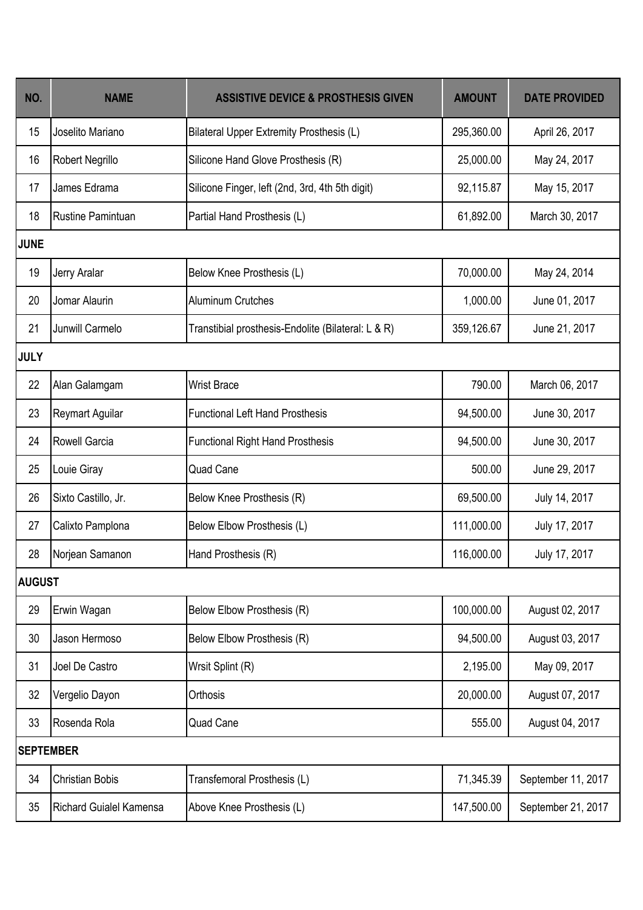| NO.              | <b>NAME</b>                    | <b>ASSISTIVE DEVICE &amp; PROSTHESIS GIVEN</b>     | <b>AMOUNT</b> | <b>DATE PROVIDED</b> |  |  |  |
|------------------|--------------------------------|----------------------------------------------------|---------------|----------------------|--|--|--|
| 15               | Joselito Mariano               | <b>Bilateral Upper Extremity Prosthesis (L)</b>    | 295,360.00    | April 26, 2017       |  |  |  |
| 16               | Robert Negrillo                | Silicone Hand Glove Prosthesis (R)                 | 25,000.00     | May 24, 2017         |  |  |  |
| 17               | James Edrama                   | Silicone Finger, left (2nd, 3rd, 4th 5th digit)    | 92,115.87     | May 15, 2017         |  |  |  |
| 18               | <b>Rustine Pamintuan</b>       | Partial Hand Prosthesis (L)                        | 61,892.00     | March 30, 2017       |  |  |  |
| <b>JUNE</b>      |                                |                                                    |               |                      |  |  |  |
| 19               | Jerry Aralar                   | Below Knee Prosthesis (L)                          | 70,000.00     | May 24, 2014         |  |  |  |
| 20               | Jomar Alaurin                  | <b>Aluminum Crutches</b>                           | 1,000.00      | June 01, 2017        |  |  |  |
| 21               | Junwill Carmelo                | Transtibial prosthesis-Endolite (Bilateral: L & R) | 359,126.67    | June 21, 2017        |  |  |  |
| <b>JULY</b>      |                                |                                                    |               |                      |  |  |  |
| 22               | Alan Galamgam                  | <b>Wrist Brace</b>                                 | 790.00        | March 06, 2017       |  |  |  |
| 23               | <b>Reymart Aguilar</b>         | <b>Functional Left Hand Prosthesis</b>             | 94,500.00     | June 30, 2017        |  |  |  |
| 24               | Rowell Garcia                  | <b>Functional Right Hand Prosthesis</b>            | 94,500.00     | June 30, 2017        |  |  |  |
| 25               | Louie Giray                    | <b>Quad Cane</b>                                   | 500.00        | June 29, 2017        |  |  |  |
| 26               | Sixto Castillo, Jr.            | Below Knee Prosthesis (R)                          | 69,500.00     | July 14, 2017        |  |  |  |
| 27               | Calixto Pamplona               | Below Elbow Prosthesis (L)                         | 111,000.00    | July 17, 2017        |  |  |  |
| 28               | Norjean Samanon                | Hand Prosthesis (R)                                | 116,000.00    | July 17, 2017        |  |  |  |
| <b>AUGUST</b>    |                                |                                                    |               |                      |  |  |  |
| 29               | Erwin Wagan                    | Below Elbow Prosthesis (R)                         | 100,000.00    | August 02, 2017      |  |  |  |
| 30               | Jason Hermoso                  | Below Elbow Prosthesis (R)                         | 94,500.00     | August 03, 2017      |  |  |  |
| 31               | Joel De Castro                 | Wrsit Splint (R)                                   | 2,195.00      | May 09, 2017         |  |  |  |
| 32               | Vergelio Dayon                 | Orthosis                                           | 20,000.00     | August 07, 2017      |  |  |  |
| 33               | Rosenda Rola                   | Quad Cane                                          | 555.00        | August 04, 2017      |  |  |  |
| <b>SEPTEMBER</b> |                                |                                                    |               |                      |  |  |  |
| 34               | <b>Christian Bobis</b>         | Transfemoral Prosthesis (L)                        | 71,345.39     | September 11, 2017   |  |  |  |
| 35               | <b>Richard Guialel Kamensa</b> | Above Knee Prosthesis (L)                          | 147,500.00    | September 21, 2017   |  |  |  |